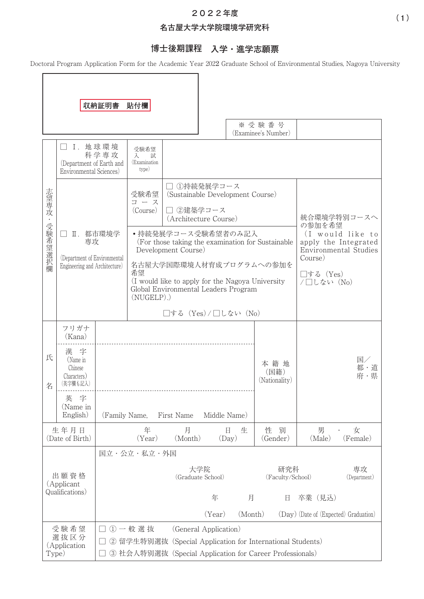## **202**2**年度**

### **名古屋大学大学院環境学研究科**

# **博士後期課程 入学・進学志願票**

Doctoral Program Application Form for the Academic Year 2022 Graduate School of Environmental Studies, Nagoya University

|              |                                                                                 | 収納証明書                                                                                                                                                    | 貼付欄                                                                                                                                                                                                                     |                                                                                                             |                          |                                                                                            |                                           |             |                                       |
|--------------|---------------------------------------------------------------------------------|----------------------------------------------------------------------------------------------------------------------------------------------------------|-------------------------------------------------------------------------------------------------------------------------------------------------------------------------------------------------------------------------|-------------------------------------------------------------------------------------------------------------|--------------------------|--------------------------------------------------------------------------------------------|-------------------------------------------|-------------|---------------------------------------|
|              |                                                                                 |                                                                                                                                                          |                                                                                                                                                                                                                         |                                                                                                             |                          |                                                                                            | ※受験番号<br>(Examinee's Number)              |             |                                       |
|              | I. 地球環境<br>科学専攻<br>(Department of Earth and<br>Environmental Sciences)          |                                                                                                                                                          | 受験希望<br>試<br>入<br>(Examination<br>type)                                                                                                                                                                                 |                                                                                                             |                          |                                                                                            |                                           |             |                                       |
| 志望専攻・受験希望選択欄 | Ⅱ. 都市環境学<br>専攻<br>(Department of Environmental<br>Engineering and Architecture) |                                                                                                                                                          | 受験希望<br>コース<br>(Course)                                                                                                                                                                                                 | □ ①持続発展学コース<br>(Sustainable Development Course)<br>□ 2建築学コース<br>(Architecture Course)<br>•持続発展学コース受験希望者のみ記入 |                          |                                                                                            | 統合環境学特別コースへ<br>の参加を希望<br>(I would like to |             |                                       |
|              |                                                                                 |                                                                                                                                                          | (For those taking the examination for Sustainable)<br>Development Course)<br>名古屋大学国際環境人材育成プログラムへの参加を<br>希望<br>(I would like to apply for the Nagoya University<br>Global Environmental Leaders Program<br>$(NUGELP)$ .) |                                                                                                             |                          | apply the Integrated<br><b>Environmental Studies</b><br>Course)<br>□する (Yes)<br>/□しない (No) |                                           |             |                                       |
|              |                                                                                 |                                                                                                                                                          | □する(Yes)/□しない(No)                                                                                                                                                                                                       |                                                                                                             |                          |                                                                                            |                                           |             |                                       |
| 氏<br>名       | フリガナ<br>(Kana)<br>漢 字<br>(Name in<br>Chinese<br>Characters)<br>(英字欄も記入)         |                                                                                                                                                          |                                                                                                                                                                                                                         |                                                                                                             |                          |                                                                                            | 本籍地<br>(国籍)<br>(Nationality)              |             | 国/<br>都・道<br>府・県                      |
|              | 字<br>英<br>(Name in<br>English)                                                  | Middle Name)<br>(Family Name,<br>First Name                                                                                                              |                                                                                                                                                                                                                         |                                                                                                             |                          |                                                                                            |                                           |             |                                       |
|              | 生年月日<br>(Date of Birth)                                                         |                                                                                                                                                          | 年<br>(Year)                                                                                                                                                                                                             | 月<br>(Month)                                                                                                | Ħ.<br>(Day)              | 生                                                                                          | 性<br>別<br>(Gender)                        | 男<br>(Male) | 女<br>(Female)                         |
|              |                                                                                 |                                                                                                                                                          | 国立・公立・私立・外国                                                                                                                                                                                                             |                                                                                                             |                          |                                                                                            |                                           |             |                                       |
|              | 出願資格<br>(Applicant<br>Qualifications)                                           |                                                                                                                                                          |                                                                                                                                                                                                                         |                                                                                                             | 大学院<br>(Graduate School) |                                                                                            | 研究科<br>(Faculty/School)                   |             | 専攻<br>(Department)                    |
|              |                                                                                 |                                                                                                                                                          |                                                                                                                                                                                                                         |                                                                                                             | 年<br>(Year)              | 月<br>(Month)                                                                               | $\mathbb H$                               | 卒業(見込)      | (Day) (Date of (Expected) Graduation) |
| Type)        | 受験希望<br>選抜区分<br>(Application                                                    | ①一般選抜<br>(General Application)<br>② 留学生特別選抜 (Special Application for International Students)<br>③ 社会人特別選抜 (Special Application for Career Professionals) |                                                                                                                                                                                                                         |                                                                                                             |                          |                                                                                            |                                           |             |                                       |